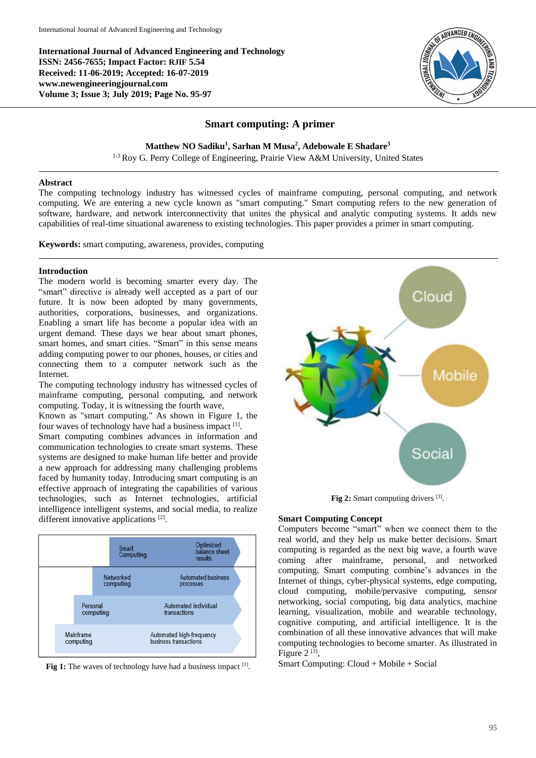**International Journal of Advanced Engineering and Technology ISSN: 2456-7655; Impact Factor: RJIF 5.54 Received: 11-06-2019; Accepted: 16-07-2019 www.newengineeringjournal.com Volume 3; Issue 3; July 2019; Page No. 95-97**



# **Smart computing: A primer**

**Matthew NO Sadiku<sup>1</sup> , Sarhan M Musa<sup>2</sup> , Adebowale E Shadare<sup>3</sup>**

<sup>1-3</sup> Roy G. Perry College of Engineering, Prairie View A&M University, United States

### **Abstract**

The computing technology industry has witnessed cycles of mainframe computing, personal computing, and network computing. We are entering a new cycle known as "smart computing." Smart computing refers to the new generation of software, hardware, and network interconnectivity that unites the physical and analytic computing systems. It adds new capabilities of real-time situational awareness to existing technologies. This paper provides a primer in smart computing.

**Keywords:** smart computing, awareness, provides, computing

## **Introduction**

The modern world is becoming smarter every day. The "smart" directive is already well accepted as a part of our future. It is now been adopted by many governments, authorities, corporations, businesses, and organizations. Enabling a smart life has become a popular idea with an urgent demand. These days we hear about smart phones, smart homes, and smart cities. "Smart" in this sense means adding computing power to our phones, houses, or cities and connecting them to a computer network such as the Internet.

The computing technology industry has witnessed cycles of mainframe computing, personal computing, and network computing. Today, it is witnessing the fourth wave,

Known as "smart computing." As shown in Figure 1, the four waves of technology have had a business impact [1].

Smart computing combines advances in information and communication technologies to create smart systems. These systems are designed to make human life better and provide a new approach for addressing many challenging problems faced by humanity today. Introducing smart computing is an effective approach of integrating the capabilities of various technologies, such as Internet technologies, artificial intelligence intelligent systems, and social media, to realize different innovative applications<sup>[2]</sup>.



Fig 1: The waves of technology have had a business impact [1].



Fig 2: Smart computing drivers [3].

## **Smart Computing Concept**

Computers become "smart" when we connect them to the real world, and they help us make better decisions. Smart computing is regarded as the next big wave, a fourth wave coming after mainframe, personal, and networked computing. Smart computing combine's advances in the Internet of things, cyber-physical systems, edge computing, cloud computing, mobile/pervasive computing, sensor networking, social computing, big data analytics, machine learning, visualization, mobile and wearable technology, cognitive computing, and artificial intelligence. It is the combination of all these innovative advances that will make computing technologies to become smarter. As illustrated in Figure  $2^{[3]}$ ,

Smart Computing: Cloud + Mobile + Social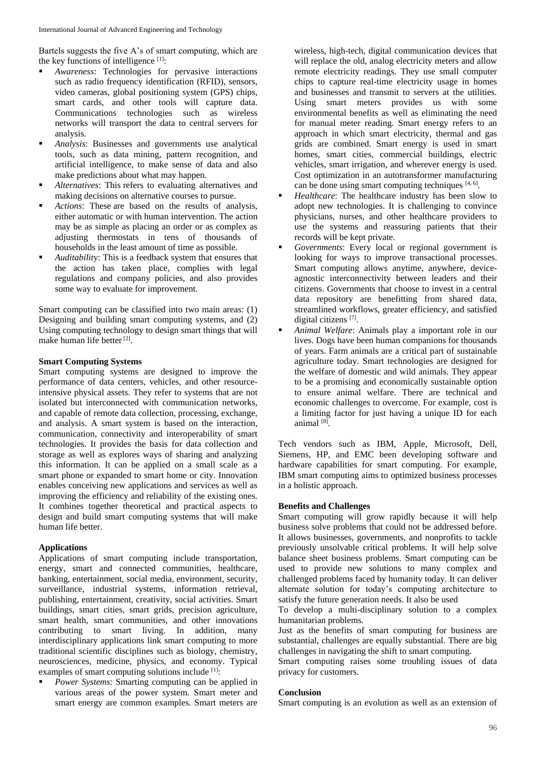Bartels suggests the five A's of smart computing, which are the key functions of intelligence  $[1]$ :

- *Awareness*: Technologies for pervasive interactions such as radio frequency identification (RFID), sensors, video cameras, global positioning system (GPS) chips, smart cards, and other tools will capture data. Communications technologies such as wireless networks will transport the data to central servers for analysis.
- *Analysis*: Businesses and governments use analytical tools, such as data mining, pattern recognition, and artificial intelligence, to make sense of data and also make predictions about what may happen*.*
- *Alternatives*: This refers to evaluating alternatives and making decisions on alternative courses to pursue.
- *Actions*: These are based on the results of analysis, either automatic or with human intervention. The action may be as simple as placing an order or as complex as adjusting thermostats in tens of thousands of households in the least amount of time as possible.
- *Auditabilit*y: This is a feedback system that ensures that the action has taken place, complies with legal regulations and company policies, and also provides some way to evaluate for improvement.

Smart computing can be classified into two main areas: (1) Designing and building smart computing systems, and (2) Using computing technology to design smart things that will make human life better<sup>[2]</sup>.

## **Smart Computing Systems**

Smart computing systems are designed to improve the performance of data centers, vehicles, and other resourceintensive physical assets. They refer to systems that are not isolated but interconnected with communication networks, and capable of remote data collection, processing, exchange, and analysis. A smart system is based on the interaction, communication, connectivity and interoperability of smart technologies. It provides the basis for data collection and storage as well as explores ways of sharing and analyzing this information. It can be applied on a small scale as a smart phone or expanded to smart home or city. Innovation enables conceiving new applications and services as well as improving the efficiency and reliability of the existing ones. It combines together theoretical and practical aspects to design and build smart computing systems that will make human life better.

## **Applications**

Applications of smart computing include transportation, energy, smart and connected communities, healthcare, banking, entertainment, social media, environment, security, surveillance, industrial systems, information retrieval, publishing, entertainment, creativity, social activities. Smart buildings, smart cities, smart grids, precision agriculture, smart health, smart communities, and other innovations contributing to smart living. In addition, many interdisciplinary applications link smart computing to more traditional scientific disciplines such as biology, chemistry, neurosciences, medicine, physics, and economy. Typical examples of smart computing solutions include <sup>[1]</sup>:

 *Power Systems*: Smarting computing can be applied in various areas of the power system. Smart meter and smart energy are common examples. Smart meters are

wireless, high-tech, digital communication devices that will replace the old, analog electricity meters and allow remote electricity readings. They use small computer chips to capture real-time electricity usage in homes and businesses and transmit to servers at the utilities. Using smart meters provides us with some environmental benefits as well as eliminating the need for manual meter reading. Smart energy refers to an approach in which smart electricity, thermal and gas grids are combined. Smart energy is used in smart homes, smart cities, commercial buildings, electric vehicles, smart irrigation, and wherever energy is used. Cost optimization in an autotransformer manufacturing can be done using smart computing techniques [4, 6].

- *Healthcare*: The healthcare industry has been slow to adopt new technologies. It is challenging to convince physicians, nurses, and other healthcare providers to use the systems and reassuring patients that their records will be kept private.
- *Governments*: Every local or regional government is looking for ways to improve transactional processes. Smart computing allows anytime, anywhere, deviceagnostic interconnectivity between leaders and their citizens. Governments that choose to invest in a central data repository are benefitting from shared data, streamlined workflows, greater efficiency, and satisfied digital citizens<sup>[7]</sup>.
- *Animal Welfare*: Animals play a important role in our lives. Dogs have been human companions for thousands of years. Farm animals are a critical part of sustainable agriculture today. Smart technologies are designed for the welfare of domestic and wild animals. They appear to be a promising and economically sustainable option to ensure animal welfare. There are technical and economic challenges to overcome. For example, cost is a limiting factor for just having a unique ID for each animal<sup>[8]</sup>.

Tech vendors such as IBM, Apple, Microsoft, Dell, Siemens, HP, and EMC been developing software and hardware capabilities for smart computing. For example, IBM smart computing aims to optimized business processes in a holistic approach.

# **Benefits and Challenges**

Smart computing will grow rapidly because it will help business solve problems that could not be addressed before. It allows businesses, governments, and nonprofits to tackle previously unsolvable critical problems. It will help solve balance sheet business problems. Smart computing can be used to provide new solutions to many complex and challenged problems faced by humanity today. It can deliver alternate solution for today's computing architecture to satisfy the future generation needs. It also be used

To develop a multi-disciplinary solution to a complex humanitarian problems.

Just as the benefits of smart computing for business are substantial, challenges are equally substantial. There are big challenges in navigating the shift to smart computing.

Smart computing raises some troubling issues of data privacy for customers.

## **Conclusion**

Smart computing is an evolution as well as an extension of